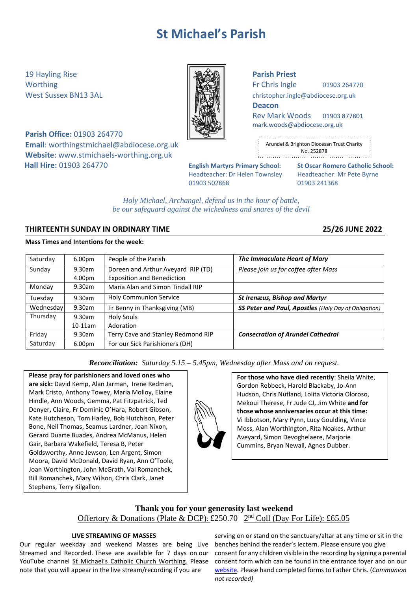# **St Michael's Parish**

19 Hayling Rise **Parish Priest**

**Parish Office:** 01903 264770 **Email**: [worthingstmichael@abdiocese.org.uk](mailto:worthingstmichael@abdiocese.org.uk) **Website**: [www.stmichaels-worthing.org.uk](http://www.stmichaels-worthing.org.uk/) **Hall Hire:** 01903 264770 **English Martyrs Primary School: St Oscar Romero Catholic School:**

Worthing  $\parallel$   $\parallel$   $\parallel$   $\parallel$   $\parallel$  Fr Chris Ingle 01903 264770

West Sussex BN13 3AL **[christopher.ingle@abdiocese.org.uk](mailto:christopher.ingle@abdiocese.org.uk)** | **christopher.ingle@abdiocese.org.uk** 

**Deacon**

Rev Mark Woods 01903 877801 [mark.woods@abdiocese.org.uk](mailto:mark.woods@abdiocese.org.uk)

| ٠                                                          |
|------------------------------------------------------------|
| $\frac{1}{2}$<br>Arundel & Brighton Diocesan Trust Charity |
| ٠<br>No. 252878<br>٠<br>٠                                  |
|                                                            |

Headteacher: Dr Helen Townsley Headteacher: Mr Pete Byrne 01903 502868 01903 241368

*Holy Michael, Archangel, defend us in the hour of battle, be our safeguard against the wickedness and snares of the devil*

# **THIRTEENTH SUNDAY IN ORDINARY TIME 25/26 JUNE 2022**

# **Mass Times and Intentions for the week:**

| Saturday  | 6.00 <sub>pm</sub> | People of the Parish               | The Immaculate Heart of Mary                                |
|-----------|--------------------|------------------------------------|-------------------------------------------------------------|
| Sunday    | 9.30am             | Doreen and Arthur Aveyard RIP (TD) | Please join us for coffee after Mass                        |
|           | 4.00pm             | <b>Exposition and Benediction</b>  |                                                             |
| Monday    | 9.30am             | Maria Alan and Simon Tindall RIP   |                                                             |
| Tuesday   | 9.30am             | <b>Holy Communion Service</b>      | <b>St Irenæus, Bishop and Martyr</b>                        |
| Wednesday | 9.30am             | Fr Benny in Thanksgiving (MB)      | <b>SS Peter and Paul, Apostles</b> (Holy Day of Obligation) |
| Thursday  | 9.30am             | <b>Holy Souls</b>                  |                                                             |
|           | $10-11$ am         | Adoration                          |                                                             |
| Friday    | 9.30am             | Terry Cave and Stanley Redmond RIP | <b>Consecration of Arundel Cathedral</b>                    |
| Saturday  | 6.00 <sub>pm</sub> | For our Sick Parishioners (DH)     |                                                             |

*Reconciliation: Saturday 5.15 – 5.45pm, Wednesday after Mass and on request.*

**Please pray for parishioners and loved ones who are sick:** David Kemp, Alan Jarman, Irene Redman, Mark Cristo, Anthony Towey, Maria Molloy, Elaine Hindle, Ann Woods, Gemma, Pat Fitzpatrick, Ted Denyer**,** Claire, Fr Dominic O'Hara, Robert Gibson, Kate Hutcheson, Tom Harley, Bob Hutchison, Peter Bone, Neil Thomas, Seamus Lardner, Joan Nixon, Gerard Duarte Buades, Andrea McManus, Helen Gair, Barbara Wakefield, Teresa B, Peter Goldsworthy, Anne Jewson, Len Argent, Simon Moora, David McDonald, David Ryan, Ann O'Toole, Joan Worthington, John McGrath, Val Romanchek, Bill Romanchek, Mary Wilson, Chris Clark, Janet Stephens, Terry Kilgallon.

**For those who have died recently**: Sheila White, Gordon Rebbeck, Harold Blackaby, Jo-Ann Hudson, Chris Nutland, Lolita Victoria Oloroso, Mekoui Therese, Fr Jude CJ, Jim White **and for those whose anniversaries occur at this time:** Vi Ibbotson, Mary Pynn, Lucy Goulding, Vince Moss, Alan Worthington, Rita Noakes, Arthur Aveyard, Simon Devoghelaere, Marjorie Cummins, Bryan Newall, Agnes Dubber.

# **Thank you for your generosity last weekend** Offertory & Donations (Plate & DCP): £250.70 2<sup>nd</sup> Coll (Day For Life): £65.05

### **LIVE STREAMING OF MASSES**

Our regular weekday and weekend Masses are being Live Streamed and Recorded. These are available for 7 days on our YouTube channel [St Michael's Catholic Church Worthing](https://www.youtube.com/channel/UCJbxYiC8NIvWP1CZ6Ate-fA/videos). Please note that you will appear in the live stream/recording if you are

serving on or stand on the sanctuary/altar at any time or sit in the benches behind the reader's lectern. Please ensure you give consent for any children visible in the recording by signing a parental consent form which can be found in the entrance foyer and on our [website.](https://www.stmichaels-worthing.org.uk/Groups/161112/St_Michaels_Worthing/Parish_News/Parish_News.aspx) Please hand completed forms to Father Chris. (*Communion not recorded)*